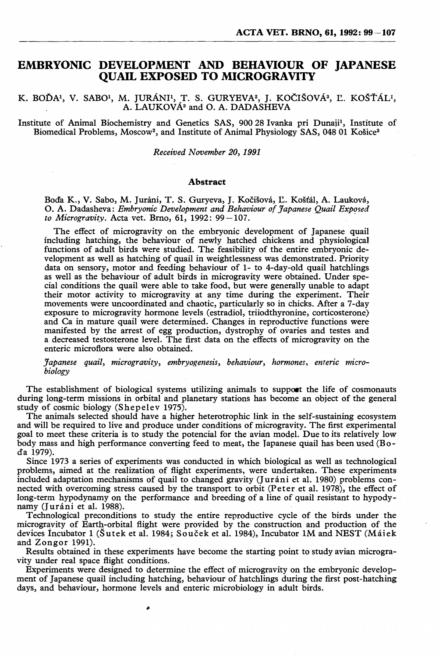## **EMBRYONIC DEVELOPMENT AND BEHAVIOUR OF JAPANESE QUAIL EXPOSED TO MICROGRAVITY**

K. BOĎA<sup>1</sup>, V. SABO<sup>1</sup>, M. JURÁNI<sup>1</sup>, T. S. GURYEVA<sup>2</sup>, J. KOČIŠOVÁ<sup>3</sup>, Ľ. KOŠŤÁL<sup>1</sup>, A. LAUKOVA<sup>3</sup> and O. A. DADASHEVA

Institute of Animal Biochemistry and Genetics SAS, 90028 Ivanka pri Dunajil, Institute of Biomedical Problems, Moscow<sup>2</sup>, and Institute of Animal Physiology SAS, 048 01 Košice<sup>3</sup>

*Received NO'Vember 20,1991* 

#### Abstract

Bocfa K., V. Sabo, M. Jurani, T. S. Guryeva, J. Kocisova, E. Kostal, A. Laukova, O. A. Dadasheva: *Embryonic Development and Behaviour of Japanese Quail Expored to Microgravity.* Acta vet. Brno,  $61$ , 1992: 99-107.

The effect of microgravity on the embryonic development of Japanese quail including hatching, the behaviour of newly hatched chickens and physiological functions of adult birds were studied. The feasibility of the entire embryonic development as well as hatching of quail in weightlessness was demonstrated. Priority data on sensory, motor and feeding behaviour of 1- to 4-day-old quail hatchlings as well as the behaviour of adult birds in microgravity were obtained. Under special conditions the quail were able to take food, but were generally Unable to adapt their motor activity to microgravity at any time during the experiment. Their movements were uncoordinated and chaotic, particularly so in chicks. After a 7-day exposure to microgravity hormone levels (estradiol, triiodthyronine, corticosterone) manifested by the arrest of egg production, dystrophy of ovaries and testes and a decreased testosterone level. The first data on the effects of microgravity on the enteric microflora were also obtained.

*Japanese quail, microgravity, embryogenesis, behaviour, hormones, enteric microbiology* 

The establishment of biological systems utilizing animals to support the life of cosmonauts during long-term missions in orbital and planetary stations has become an object of the general study of cosmic biology (Shepelev 1975).

The animals selected should have a higher heterotrophic link in the self-sustaining ecosystem and will be required to live and produce under conditions of microgravity. The first experimental goal to meet these criteria is to study the potencial for the avian model. Due to its relatively low body mass and high performance converting feed to meat, the Japanese quail has been used (Boda 1979).

Since 1973 a series of experiments was conducted in which biological as well as technological problems, aimed at the realization of flight experiments, were undertaken. These experiments included adaptation mechanisms of quail to changed gravity (Juráni et al. 1980) problems connected with overcoming stress caused by the transport to orbit (Peter et al. 1978), the effect of long-term hypodynamy on the performance and breeding of a line of quail resistant to hypodynamy (Juráni et al. 1988).

Technological preconditions to study the entire reproductive cycle of the birds under the microgravity of Earth-orbital flight were provided by the construction and production of the devices incubator 1 (Sutek et al. 1984; Soucek et al. 1984), Incubator 1M and NEST (Maiek and Zongor 1991).

Results obtained in these experiments have become the starting point to study avian microgravity under real space flight conditions.

Experiments were designed to determine the effect of microgravity on the embryonic development of Japanese quail including hatching, behaviour of hatchlings during the first post-hatching days, and behaviour, hormone levels and enteric microbiology in adult birds.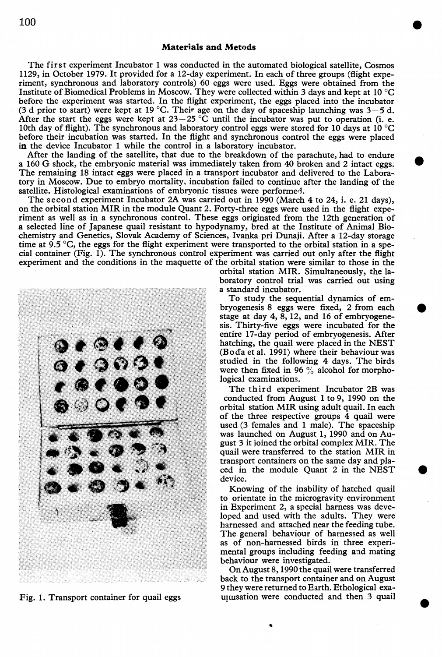The first experiment Incubator 1 was conducted in the automated biological satellite, Cosmos 1129, in October 1979. It provided for a 12-day experiment. In each of three groups (flight experiment, synchronous and laboratory controls) 60 eggs were used. Eggs were obtained from the Institute of Biomedical Problems in Moscow. They were collected within 3 days and kept at 10°C before the experiment was started. In the flight experiment, the eggs placed into the incubator (3 d prior to start) were kept at 19 °C. Their age on the day of spaceship launching was  $3-5$  d.<br>After the start the eggs were kept at  $23-25$  °C until the incubator was put to operation (i. e. 10th dav of flight). The synchronous and laboratory control eggs were stored for 10 days at 10 °C before their incubation was started. In the flight and synchronous control the eggs were placed in the device Incubator I while the control in a laboratory incubator.

After the landing of the satellite, that due to the breakdown of the parachute, had to endure a 160 G shock, the embryonic material was immediately taken from 40 broken and 2 intact eggs. The remaining 18 intact eggs were placed in a transport incubator and delivered to the Laboratory in Moscow. Due to embryo mortality, incubation failed to continue after the landing of the satellite. Histological examinations of embryonic tissues were performed.

The second experiment Incubator 2A was carried out in 1990 (March 4 to 24, i. e. 21 days), on the orbital station MIR in the module Quant 2. Forty-three eggs were used in the flight experiment as well as in a synchronous control. These eggs originated from the 12th generation of a selected line of Japanese quail resistant to hypodynamy, bred at the Institute of Animal Biochemistry and Genetics, Slovak Academy of Sciences, Ivanka pri Dunaji. After a 12-day storage time at 9.5 °C, the eggs for the flight experiment were transported to the orbital station in a special container (Fig. 1). The synchronous control experiment was carried out only after the flight experiment and the conditions in the maquette of the orbital station were similar to those in the

> orbital station MIR. Simultaneously, the laboratory control trial was carried out using a standard incubator.

•

•

•

•

•

To study the sequential dynamics of embryogenesis 8 eggs were fixed, 2 from each stage at day 4, 8, 12, and 16 of embryogenesis. Thirty-five eggs were incubated for the entire 17-day period of embryogenesis. After hatching, the quail were placed in the NEST (Boda et al. 1991) where their behaviour was studied in the following 4 days. The birds were then fixed in 96  $\%$  alcohol for morphological examinations.

The third experiment Incubator 2B was conducted from August 1 to 9, 1990 on the orbital station MIR using adult quail. In each of the three respective groups 4 quail were used (3 females and 1 male). The spaceship was launched on August 1, 1990 and on August 3 it joined the orbital complex MIR. The quail were transferred to the station MIR in transport containers on the same day and placed in the module Quant 2 in the NEST device.

Knowing of the inability of hatched quail to orientate in the microgravity environment in Experiment 2, a special harness was developed and used with the adults. They were harnessed and attached near the feeding tube. The general behaviour of harnessed as well as of non-harnessed birds in three experimental groups including feeding and mating behaviour were investigated.

On August 8, 1990 the quail were transferred back to the transport container and on August 9 they were returned to Earth. Ethological exa-Fig. 1. Transport container for quail eggs unusation were conducted and then 3 quail

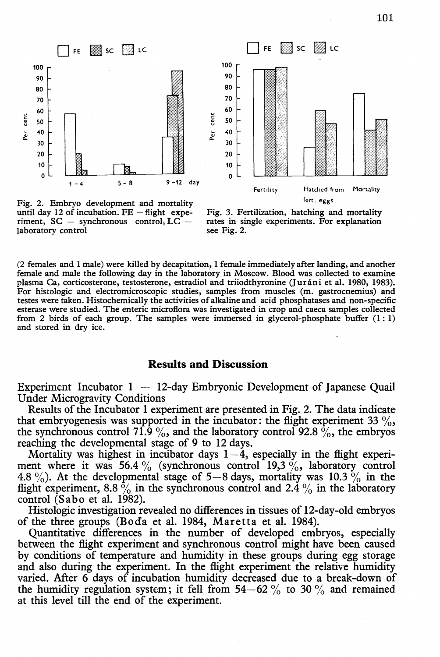



Fig. 2. Embryo development and mortality until day 12 of incubation.  $FE - flight$  experiment,  $SC -$  synchronous control,  $LC$ laboratory control



(2 females and 1 male) were killed by decapitation, 1 female immediately after landing, and another female and male the following day in the laboratory in Moscow. Blood was collected to examine plasma Ca, corticosterone, testosterone, estradiol and triiodthyronine (Jurani et al. 1980, 1983). For histologic and electromicroscopic studies, samples from muscles (m. gastrocnemius) and testes were taken. Histochemically the activities of alkaline and acid phosphatases and non-specific esterase were studied. The enteric microflora was investigated in crop and caeca samples collected from 2 birds of each group. The samples were immersed in glycerol-phosphate buffer  $(1:1)$ and stored in dry ice.

### **Results and Discussion**

Experiment Incubator  $1 - 12$ -day Embryonic Development of Japanese Quail Under Microgravity Conditions

Results of the Incubator 1 experiment are presented in Fig. 2. The data indicate that embryogenesis was supported in the incubator: the flight experiment 33  $\%$ , the synchronous control 71.9 %, and the laboratory control 92.8 %, the embryos reaching the developmental stage of 9 to 12 days.

Mortality was highest in incubator days  $1-\overline{4}$ , especially in the flight experiment where it was 56.4 % (synchronous control 19,3 %, laboratory control 4.8 %). At the developmental stage of  $5-8$  days, mortality was  $10.3\%$  in the flight experiment, 8.8  $\frac{6}{9}$  in the synchronous control and 2.4  $\frac{6}{9}$  in the laboratory control (Sabo et al. 1982).

Histologic investigation revealed no differences in tissues of 12-day-old embryos of the three groups (Bod'a et al. 1984, Maretta et al. 1984).

Quantitative differences in the number of developed embryos, especially between the flight experiment and synchronous control might have been caused by conditions of temperature and humidity in these groups during egg storage and also during the experiment. In the flight experiment the relative humidity varied. Mter 6 days of incubation humidity decreased due to a break-down of the humidity regulation system; it fell from  $54-62\%$  to  $30\%$  and remained at this level till the end of the experiment.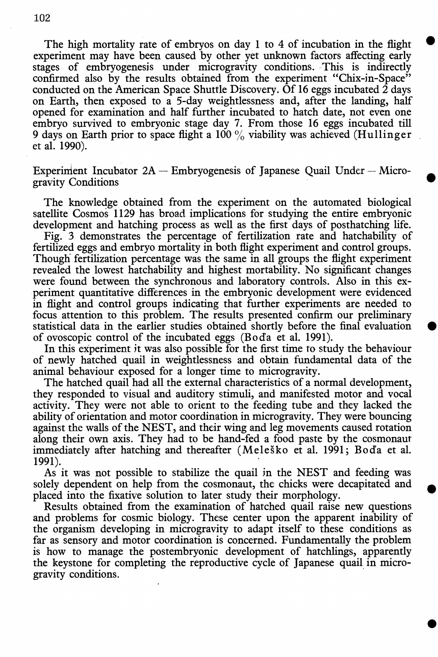The high mortality rate of embryos on day 1 to 4 of incubation in the flight experiment may have been caused by other yet unknown factors affecting early stages of embryogenesis under microgravity conditions. This is indirectly confirmed also by the results obtained from the experiment "Chix-in-Space" conducted on the American Space Shuttle Discovery. Of 16 eggs incubated  $\hat{2}$  days on Earth, then exposed to a 5-day weightlessness and, after the landing, half opened for examination and half further incubated to hatch date, not even one embryo survived to embryonic stage day 7. From those 16 eggs incubated till 9 days on Earth prior to space flight a 100  $\%$  viability was achieved (Hullinger et al. 1990).

•

•

•

•

•

Experiment Incubator  $2A -$  Embryogenesis of Japanese Quail Under - Microgravity Conditions

The knowledge obtained from the experiment on the automated biological satellite Cosmos 1129 has broad implications for studying the entire embryonic development and hatching process as well as the first days of posthatching life.

Fig. 3 demonstrates the percentage of fertilization rate and hatchability of fertilized eggs and embryo mortality in both flight experiment and control groups. Though fertilization percentage was the same in all groups the flight experiment revealed the lowest hatchability and highest mortability. No significant changes were found between the synchronous and laboratory controls. Also in this experiment quantitative differences in the embryonic development were evidenced in flight and control groups indicating that further experiments are needed to focus attention to this problem. The results presented confirm our preliminary statistical data in the earlier studies obtained shortly before the final evaluation of ovoscopic control of the incubated eggs (Boda et al. 1991).

In this experiment it was also possible for the first time to study the behaviour of newly hatched quail in weightlessness and obtain fundamental data of the animal behaviour exposed for a longer time to microgravity.

The hatched quail had all the external characteristics of a normal development, they responded to visual and auditory stimuli, and manifested motor and vocal activity. They were not able to orient to the feeding tube and they lacked the ability of orientation and motor coordination in microgravity. They were bouncing against the walls of the NEST, and their wing and leg movements caused rotation along their own axis. They had to be hand-fed a food paste by the cosmonaut immediately after hatching and thereafter (Melesko et al. 1991; Boda et al. 1991).

As it was not possible to stabilize the quail jn the NEST and feeding was solely dependent on help from the cosmonaut, the chicks were decapitated and placed into the fixative solution to later study their morphology.

Results obtained from the examination of hatched quail raise new questions and problems for cosmic biology. These center upon the apparent inability of the organism developing in microgravity to adapt itself to these conditions as far as sensory and motor coordination is concerned. Fundamentally the problem is how to manage the postembryonic development of hatchlings, apparently the keystone for completing the reproductive cycle of Japanese quail in microgravity conditions.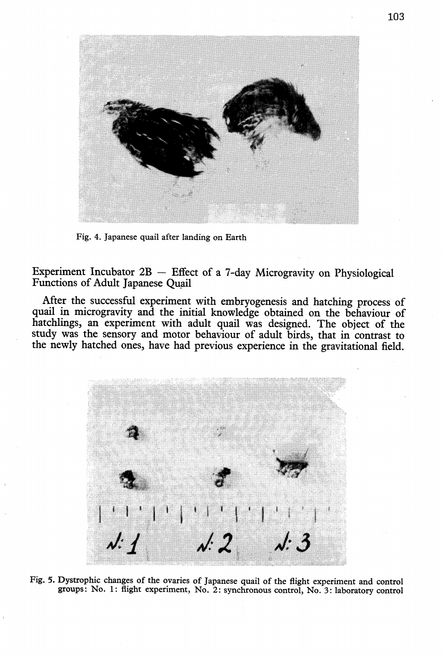

Fig. 4. Japanese quail after landing on Earth

Experiment Incubator  $2B$  - Effect of a 7-day Microgravity on Physiological Functions of Adult Japanese Quail

After the successful experiment with embryogenesis and hatching process of quail in microgravity and the initial knowledge obtained on the behaviour of hatchlings, an experiment with adult quail was designed. The object of the study was the sensory and motor behaviour of adult birds, that in contrast to the newly hatched ones, have had previous experience in the gravitational field.



Fig. 5. Dystrophic changes of the ovaries of Japanese quail of the flight experiment and control groups: No.1: flight experiment, No.2: synchronous control, No.3: laboratory control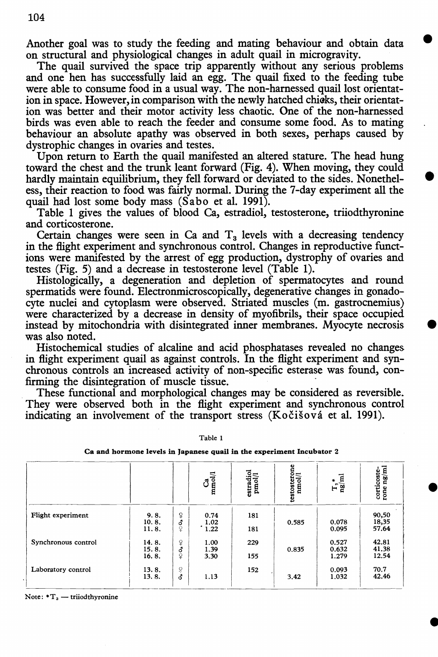Another goal was to study the feeding and mating behaviour and obtain data on structural and physiological changes in adult quail in microgravity.

•

•

•

•

•

The quail survived the space trip apparently without any serious problems and one hen has successfully laid an egg. The quail fixed to the feeding tube were able to consume food in a usual way. The non-harnessed quail lost orientation in space. However, in comparison with the newly hatched chicks, their orientation was better and their motor activity less chaotic. One of the non-harnessed birds was even able to reach the feeder and consume some food. As to mating behaviour an absolute apathy was observed in both sexes, perhaps caused by dystrophic changes in ovaries and testes.

Upon return to Earth the quail manifested an altered stature. The head hung toward the chest and the trunk leant forward (Fig. 4). When moving, they could hardly maintain equilibrium, they fell forward or deviated to the sides. Nonetheless, their reaction to food was fairly normal. During the 7-day experiment all the quail had lost some body mass (Sabo et al. 1991).

Table 1 gives the values of blood Ca, estradiol, testosterone, triiodthyronine and corticosterone.

Certain changes were seen in Ca and  $T<sub>3</sub>$  levels with a decreasing tendency in the flight experiment and synchronous control. Changes in reproductive functions were manifested by the arrest of egg production, dystrophy of ovaries and testes (Fig. 5) and a decrease in testosterone level (Table 1).

Histologically, a degeneration and depletion of spermatocytes and round spermatids were found. Electronmicroscopically; degenerative changes in gonadocyte nuclei and cytoplasm were observed. Striated muscles (m. gastrocnemius) were characterized by a decrease in density of myofibrils, their space occupied instead by mitochondria with disintegrated inner membranes. Myocyte necrosis was also noted.

Histochemical studies of alcaline and acid phosphatases revealed no changes in flight experiment quail as against controls. In the flight experiment and synchronous controls an increased activity of non-specific esterase was found, confirming the disintegration of muscle tissue. .

. These functional and morphological changes may be considered as reversible. They were observed both in the flight experiment and synchronous control indicating an involvement of the transport stress (Kočišová et al. 1991).

|                     |                         |                        | $\frac{Ca}{m\omega}$         | $\frac{\rm{erradiol}}{\rm{pmol/l}}$ | $\begin{array}{cc} \text{testo} & \text{error} \\ \text{nmol/l} \end{array}$ | $T_{\rm is}$ <sup>*</sup> | $\begin{array}{c} \mbox{corticoste-}\\ \mbox{rone ng/ml} \end{array}$ |
|---------------------|-------------------------|------------------------|------------------------------|-------------------------------------|------------------------------------------------------------------------------|---------------------------|-----------------------------------------------------------------------|
| Flight experiment   | 9.8.<br>10.8.<br>11.8.  | $\mathsf{P}$<br>б<br>Ŷ | 0.74<br>1.02<br>$\cdot$ 1.22 | 181<br>181                          | 0.585                                                                        | 0.078<br>0.095            | 90,50<br>18,35<br>57.64                                               |
| Synchronous control | 14.8.<br>15.8.<br>16.8. | ¥<br>$\frac{3}{2}$     | 1.00<br>1.39<br>3.30         | 229<br>155                          | 0.835                                                                        | 0.527<br>0.632<br>1.279   | 42.81<br>41.38<br>12.54                                               |
| Laboratory control  | 13.8.<br>13.8.          | ě<br>đ                 | 1.13                         | 152                                 | 3.42                                                                         | 0.093<br>1.032            | 70.7<br>42.46                                                         |

Table 1

Ca and hormone levels in Japanese quail in the experiment Incubator 2

Note:  $T_a$  - triiodthyronine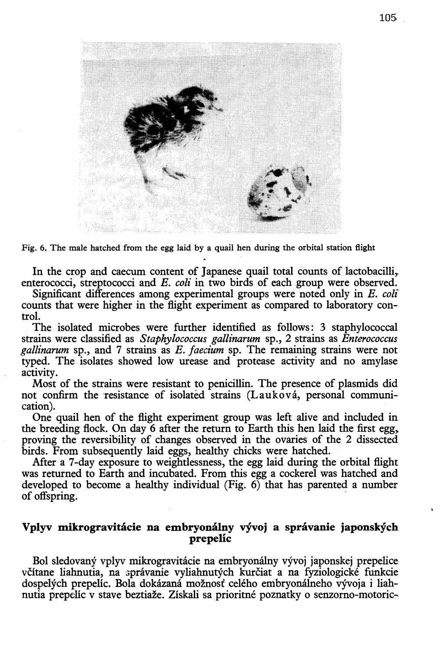

Fig. 6. The male hatched from the egg laid by a quail hen during the orbital station flight

In the crop and caecum content of Japanese quail total counts of lactobacilli, enterococci, streptococci and *E. coli* in two birds of each group were observed.

Significant differences among experimental groups were noted only in *E. coli*  counts that were higher in the flight experiment as compared to laboratory control.

The isolated microbes were further identified as follows: 3 staphylococcal strains were classified as *Staphylococcus gallinarum* sp., 2 strains as *Enterococcus gallinarum* sp., and 7 strains as *E. faecium* sp. The remaining strains were not typed. The isolates showed low urease and protease activity and no amylase activity.

Most of the strains were resistant to penicillin. The presence of plasmids did not confirm the resistance of isolated strains (Lauková, personal communication).

One quail hen of the flight experiment group was left alive and included in the breeding flock. On day 6 after the return to Earth this hen laid the first egg,. proving the reversibility of changes observed in the ovaries of the 2 dissected birds. From subsequently laid eggs, healthy chicks were hatched.

Mter a 7-day exposure to weightlessness, the egg laid during the orbital flight was returned to Earth and incubated. From this egg a cockerel was hatched and developed to become a healthy individual (Fig.  $6$ ) that has parented a number of offspring. .

# Vplyv mikrogravitácie na embryonálny vývoj a správanie japonských prepelic

Bol sledovany vplyv mikrogravitacie na embryonalny vyvoj japonskej prepelice včítane liahnutia, na správanie vyliahnutých kurčiat a na fyziologické funkcie dospelých prepelíc. Bola dokázaná možnosť celého embryonálneho vývoja i liahnutia prepelic v stave beztiaze. Ziskali sa prioritne poznatky 0 senzorno-motoric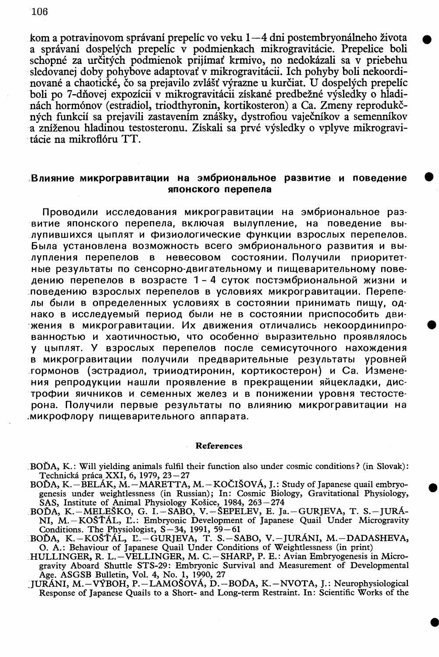kom a potravinovom správaní prepelíc vo veku  $1-4$  dni postembryonálneho života a správaní dospelých prepelíc v podmienkach mikrogravitácie. Prepelice boli schopné za určitých podmienok prijímať krmivo, no nedokázali sa v priebehu sledovanej doby pohybove adaptovai v mikrogravitacii. Ich pohyby boli nekoordinované a chaotické, čo sa prejavilo zvlášť výrazne u kurčiat. U dospelých prepelíc boli po 7-dňovej expozícii v mikrogravitácii získané predbežné výsledky o hladinách hormónov (estradiol, triodthyronin, kortikosteron) a Ca. Zmeny reprodukčných funkcií sa prejavili zastavením znášky, dystrofiou vaječníkov a semenníkov a zníženou hladinou testosteronu. Získali sa prvé výsledky o vplyve mikrogravitácie na mikroflóru TT.

### ,BnMSlHMe **MMKporpaBMTaqMM Ha 3M6pMoHanbHoe pa3BMTMe M nOBe.QeHMe • SlnOHCKoro nepenena**

Проводили исследования микрогравитации на эмбриональное развитие японского перепела, включая вылупление, на поведение вылупившихся цыплят и физиологические функции взрослых перепелов. bblna YCTaHOBneHa B03MO>KHOCTb Bcero 3M6pHoHanbHoro pa3BHTHSI H Bblлупления перепелов в невесовом состоянии. Получили приоритетные результаты по сенсорно-двигательному и пищеварительному поведению перепелов в возрасте 1 - 4 суток постэмбриональной жизни и поведению взрослых перепелов в условиях микрогравитации. Перепелы были в определенных условиях в состоянии принимать пищу, однако в исследуемый период были не в состоянии приспособить движения в микрогравитации. Их движения отличались некоординипрованностью и хаотичностью, что особенно выразительно проявлялось у цыплят. У взрослых перепелов после семисуточного нахождения в микрогравитации получили предварительные результаты уровней .гормонов (эстрадиол, трииодтиронин, кортикостерон) и Са. Изменения репродукции нашли проявление в прекращении яйцекладки, дистрофии яичников и семенных желез и в понижении уровня тестостерона. Получили первые результаты по влиянию микрогравитации на **имикрофлору пищеварительного аппарата.** 

#### References

- BOĎA, K.: Will yielding animals fulfil their function also under cosmic conditions? (in Slovak): Technická práca XXI, 6, 1979, 23–27<br>BOĎA, K. – BELÁK, M. – MARETTA, M. – KOČIŠOVÁ, J.: Study of Japanese quail embryo-
- genesis under weightlessness (in Russian); In: Cosmic Biology, Gravitational Physiology, SAS, Institute of Animal Physiology Kosice, 1984, 263-274
- BOĎA, K.–MELEŠKO, G. I.–SABO, V.–ŠEPELEV, E. Ja.–GURJEVA, T. S.–JURÁ-NI, M. - KOŠŤÁL, L.: Embryonic Development of Japanese Quail Under Microgravity
- Conditions. The Physiologist, *S*-34, 1991, 59-61<br>BOĎA, K.-KOŠŤÁL, E.-GURJEVA, T. S.-SABO, V.-JURÁNI, M.-DADASHEVA, O. A.: Behaviour of Japanese Quail Under Conditions of Weightlessness (in print)
- .HULLINGER, R. L.-VELLINGER, M. C.-SHARP, P. E.: Avian Embryogenesis in Microgravity Aboard Shuttle STS-29: Embryonic Survival and Measurement of Developmental Age. ASGSB Bulletin, Vol. 4, No.1, 1990, 27
- JURÁNI, M.–VÝBOH, P.–LAMOŠÓVÁ, D.–BOĎA, K.–NVOTA, J.: Neurophysiological Response of Japanese Quails to a Short- and Long-term Restraint. In: Scientific Works of the

•

106